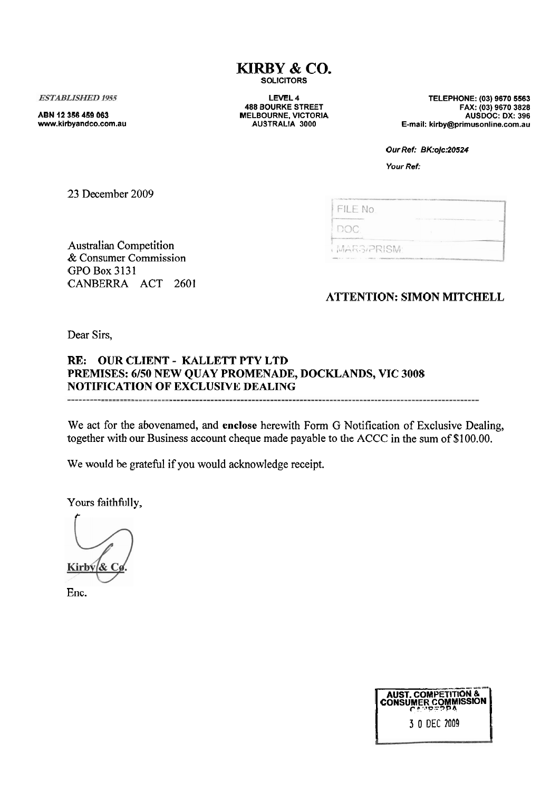### **KIRBY** & **CO. SOLICITORS**

**ESTABLISHED 1955** 

**ABN 12 356 459 063 www.kirbyandco.com.au** 

**LEVEL 4 488 BOURKE STREET MELBOURNE, VICTORIA AUSTRALIA 3000** 

**TELEPHONE: (03) 9670 5563 FAX: (03) 9670 3828 AUSDOC: DX: 396 E-mail: kirby@primusonline.corn.au** 

| 23 December 2009 |  |
|------------------|--|
|------------------|--|

| FAX: (03) 9670 3828<br>AUSDOC: DX: 396<br>E-mail: kirby@primusonline.com.au                                                                                                                                                                                                                                                                                                                                                                                                     |
|---------------------------------------------------------------------------------------------------------------------------------------------------------------------------------------------------------------------------------------------------------------------------------------------------------------------------------------------------------------------------------------------------------------------------------------------------------------------------------|
| Our Ref: BK:ojc:20524                                                                                                                                                                                                                                                                                                                                                                                                                                                           |
| Your Ref:                                                                                                                                                                                                                                                                                                                                                                                                                                                                       |
|                                                                                                                                                                                                                                                                                                                                                                                                                                                                                 |
| THE VALUE OF THE RESIDENT PRODUCTION CONTINUES. THE CONTENT OF THE REAL PRODUCTION OF THE CONSTRUCTION OF THE RESIDENCE OF THE CONTINUES.<br>FILE No.                                                                                                                                                                                                                                                                                                                           |
| $ -$<br>DOC.<br><b>Commonwealthoughter</b>                                                                                                                                                                                                                                                                                                                                                                                                                                      |
| MARS/PRISM:<br>$\label{eq:3.1} \mathcal{A}^{\text{reg}}(X,Y) = \mathcal{A}(X,Y) \cdot \mathcal{A}(X,Y) + \mathcal{A}(X,Y) \cdot \mathcal{A}(X,Y) \cdot \mathcal{A}(X,Y) \cdot \mathcal{A}(X,Y) + \mathcal{A}(X,Y) \cdot \mathcal{A}(X,Y) \cdot \mathcal{A}(X,Y) \cdot \mathcal{A}(X,Y) \cdot \mathcal{A}(X,Y) \cdot \mathcal{A}(X,Y) \cdot \mathcal{A}(X,Y) \cdot \mathcal{A}(X,Y) \cdot \mathcal{A}(X,Y) \cdot \mathcal{A}(X,Y) \cdot \mathcal{A}(X,Y) \cdot \mathcal{A}(X,Y)$ |
|                                                                                                                                                                                                                                                                                                                                                                                                                                                                                 |
| <b>ATTENTION: SIMON MITCHELL</b>                                                                                                                                                                                                                                                                                                                                                                                                                                                |
|                                                                                                                                                                                                                                                                                                                                                                                                                                                                                 |
|                                                                                                                                                                                                                                                                                                                                                                                                                                                                                 |
|                                                                                                                                                                                                                                                                                                                                                                                                                                                                                 |
| <b>KLANDS, VIC 3008</b>                                                                                                                                                                                                                                                                                                                                                                                                                                                         |
|                                                                                                                                                                                                                                                                                                                                                                                                                                                                                 |
| G Notification of Exclusive Dealing,<br>to the ACCC in the sum of \$100.00.                                                                                                                                                                                                                                                                                                                                                                                                     |
|                                                                                                                                                                                                                                                                                                                                                                                                                                                                                 |
|                                                                                                                                                                                                                                                                                                                                                                                                                                                                                 |
|                                                                                                                                                                                                                                                                                                                                                                                                                                                                                 |
|                                                                                                                                                                                                                                                                                                                                                                                                                                                                                 |
|                                                                                                                                                                                                                                                                                                                                                                                                                                                                                 |
|                                                                                                                                                                                                                                                                                                                                                                                                                                                                                 |
|                                                                                                                                                                                                                                                                                                                                                                                                                                                                                 |
|                                                                                                                                                                                                                                                                                                                                                                                                                                                                                 |
|                                                                                                                                                                                                                                                                                                                                                                                                                                                                                 |
|                                                                                                                                                                                                                                                                                                                                                                                                                                                                                 |
|                                                                                                                                                                                                                                                                                                                                                                                                                                                                                 |
|                                                                                                                                                                                                                                                                                                                                                                                                                                                                                 |
| AUST. COMPETITION &                                                                                                                                                                                                                                                                                                                                                                                                                                                             |
| 3 0 DEC 2009                                                                                                                                                                                                                                                                                                                                                                                                                                                                    |
|                                                                                                                                                                                                                                                                                                                                                                                                                                                                                 |
|                                                                                                                                                                                                                                                                                                                                                                                                                                                                                 |
|                                                                                                                                                                                                                                                                                                                                                                                                                                                                                 |
|                                                                                                                                                                                                                                                                                                                                                                                                                                                                                 |
|                                                                                                                                                                                                                                                                                                                                                                                                                                                                                 |
|                                                                                                                                                                                                                                                                                                                                                                                                                                                                                 |

Australian Competition & Consumer Commission GPO Box 3131 CANBERRA ACT 2601

## **ATTENTION: SIMON MITCHELL**

Dear Sirs,

### **RE: OUR CLIENT** - **KALLETT PTY LTD PREMISES: 6/50 NEW QUAY PROMENADE, DOCKLANDS, VIC 3008 NOTIFICATION OF EXCLUSIVE DEALING**

We act for the abovenarned, and **enclose** herewith Form G Notification of Exclusive Dealing, together with our Business account cheque made payable to the ACCC in the sum of \$100.00.

We would be grateful if you would acknowledge receipt.

Yours faithfully,

Kirby  $\&$  C

Enc.

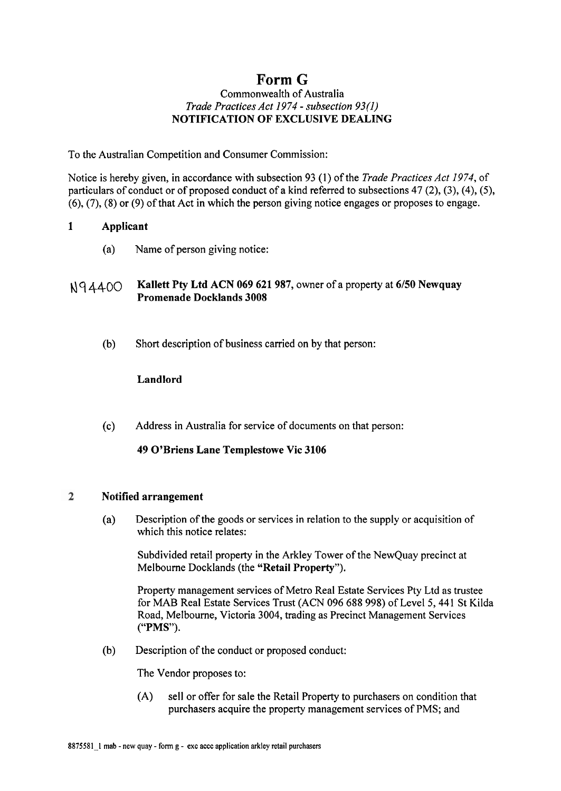# **Form** *G*

### Commonwealth of Australia *Trade Practices Act* 1974 - *subsection* 93(1) NOTIFICATION OF EXCLUSIVE DEALING

To the Australian Competition and Consumer Commission:

Notice is hereby given, in accordance with subsection 93 (1) of the *Trade Practices Act* 1974, of particulars of conduct or of proposed conduct of a kind referred to subsections 47 (2), (3), (4), (5), *(6),* **(7),** (8) or (9) of that Act in which the person giving notice engages or proposes to engage.

### 1 Applicant

(a) Name of person giving notice:

### r\l q 4400 Kallett Pty Ltd ACN 069 621 987, owner of a property at 6/50 Newquay Promenade Docklands 3008

(b) Short description of business carried on by that person:

### Landlord

(c) Address in Australia for service of documents on that person:

### 49 O'Briens Lane Templestowe Vic 3106

#### $\overline{2}$ Notified arrangement

(a) Description of the goods or services in relation to the supply or acquisition of which this notice relates:

Subdivided retail property in the Arkley Tower of the NewQuay precinct at Melbourne Docklands (the "Retail Property").

Property management services of Metro Real Estate Services Pty Ltd as trustee for **MAB** Real Estate Services Trust (ACN 096 688 998) of Level 5,441 St Kilda Road, Melbourne, Victoria 3004, trading as Precinct Management Services ("PMS").

(b) Description of the conduct or proposed conduct:

The Vendor proposes to:

(A) sell or offer for sale the Retail Property to purchasers on condition that purchasers acquire the property management services of PMS; and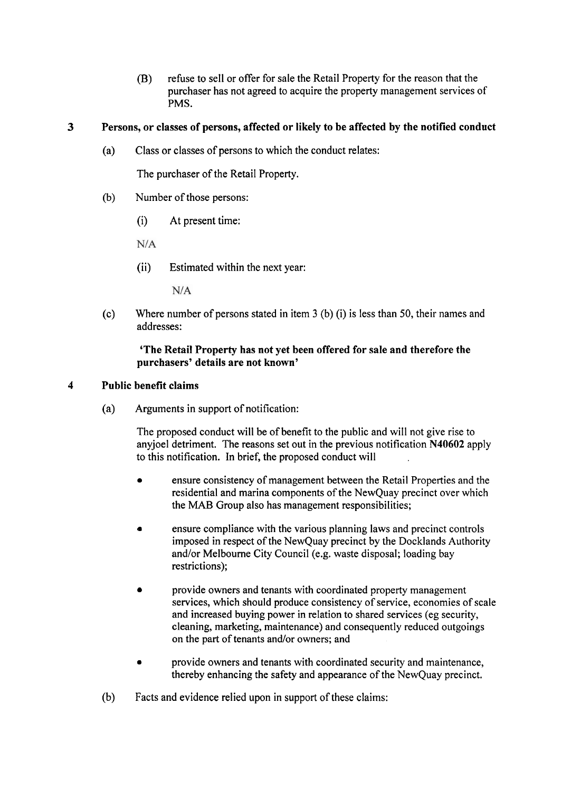(B) refuse to sell or offer for sale the Retail Property for the reason that the purchaser has not agreed to acquire the property management services of PMS.

### **3 Persons, or classes of persons, affected or likely to be affected by the notified conduct**

(a) Class or classes of persons to which the conduct relates:

The purchaser of the Retail Property.

- (b) Number of those persons:
	- (i) At present time:

 $N/A$ 

(ii) Estimated within the next year:

 $N/A$ 

(c) Where number of persons stated in item **3** (b) (i) is less than 50, their names and addresses:

### **'The Retail Property has not yet been offered for sale and therefore the purchasers' details are not known'**

### **4 Public benefit claims**

(a) Arguments in support of notification:

The proposed conduct will be of benefit to the public and will not give rise to anyjoel detriment. The reasons set out in the previous notification **N40602** apply to this notification. In brief, the proposed conduct will

- ensure consistency of management between the Retail Properties and the residential and marina components of the NewQuay precinct over which the MAB Group also has management responsibilities;
- **e** ensure compliance with the various planning laws and precinct controls imposed in respect of the NewQuay precinct by the Docklands Authority and/or Melbourne City Council (e.g. waste disposal; loading bay restrictions);
- provide owners and tenants with coordinated property management  $\bullet$ services, which should produce consistency of service, economies of scale and increased buying power in relation to shared services (eg security, cleaning, marketing, maintenance) and consequently reduced outgoings on the part of tenants and/or owners; and
- provide owners and tenants with coordinated security and maintenance, thereby enhancing the safety and appearance of the NewQuay precinct.
- (b) Facts and evidence relied upon in support of these claims: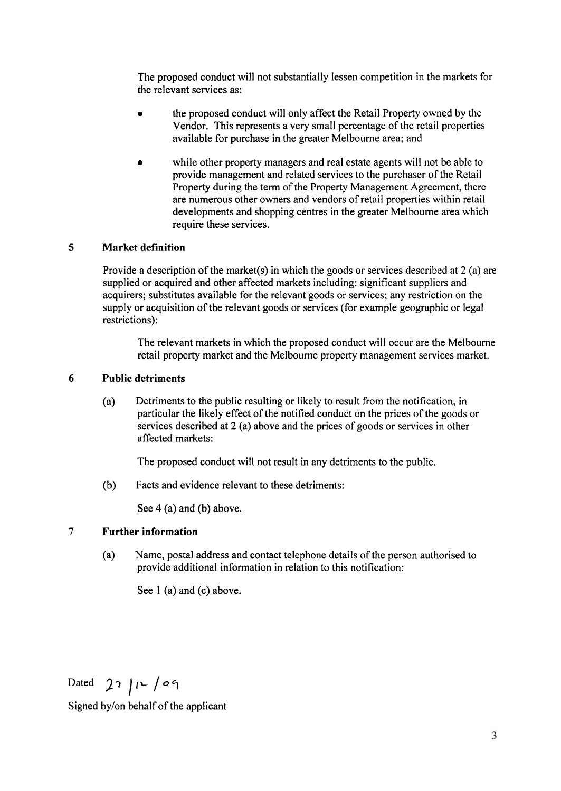The proposed conduct will not substantially lessen competition in the markets for the relevant services as:

- the proposed conduct will only affect the Retail Property owned by the Vendor. This represents a very small percentage of the retail properties available for purchase in the greater Melbourne area; and
- while other property managers and real estate agents will not be able to provide management and related services to the purchaser of the Retail Property during the term of the Property Management Agreement, there are numerous other owners and vendors of retail properties within retail developments and shopping centres in the greater Melbourne area which require these services.

### **5 Market definition**

Provide a description of the market(s) in which the goods or services described at 2 (a) are supplied or acquired and other affected markets including: significant suppliers and acquirers; substitutes available for the relevant goods or services; any restriction on the supply or acquisition of the relevant goods or services (for example geographic or legal restrictions):

The relevant markets in which the proposed conduct will occur are the Melbourne retail property market and the Melbourne property management services market.

### **6 Public detriments**

(a) Detriments to the public resulting or likely to result from the notification, in particular the likely effect of the notified conduct on the prices of the goods or services described at 2 (a) above and the prices of goods or services in other affected markets:

The proposed conduct will not result in any detriments to the public.

(b) Facts and evidence relevant to these detriments:

See 4 (a) and (b) above.

### **7 Further information**

(a) Name, postal address and contact telephone details of the person authorised to provide additional information in relation to this notification:

See 1 (a) and (c) above.

Dated **27 ),L 107** 

Signed bylon behalf of the applicant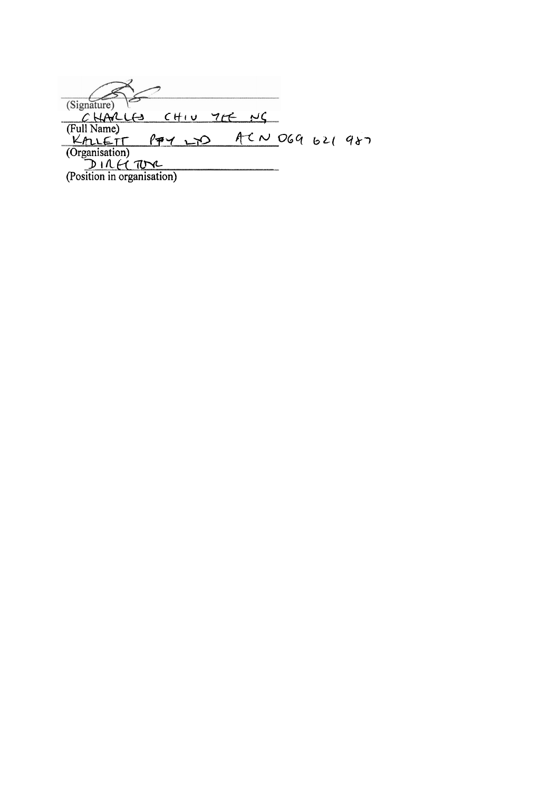(Signature)<br>
C HAVLLS CHIU 7CE NC<br>
(Full Name)<br>
KALLETT P77 LTD ACN<br>
(Organisation)<br>
D I LE TOYC<br>
(Position in organisation) ACN 069 621 987